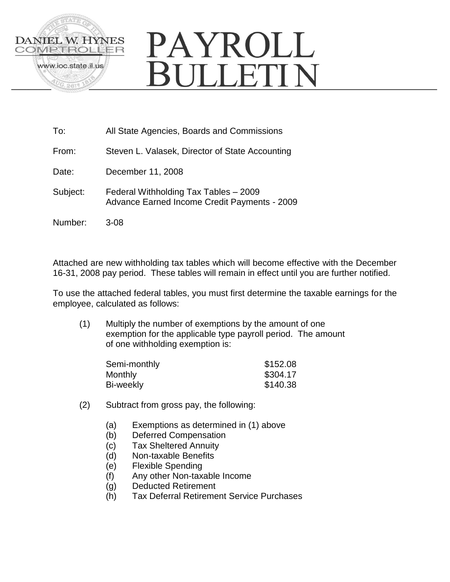

# PAYROLL **SULLETIN**

- To: All State Agencies, Boards and Commissions
- From: Steven L. Valasek, Director of State Accounting
- Date: December 11, 2008
- Subject: Federal Withholding Tax Tables 2009 Advance Earned Income Credit Payments - 2009
- Number: 3-08

Attached are new withholding tax tables which will become effective with the December 16-31, 2008 pay period. These tables will remain in effect until you are further notified.

To use the attached federal tables, you must first determine the taxable earnings for the employee, calculated as follows:

(1) Multiply the number of exemptions by the amount of one exemption for the applicable type payroll period. The amount of one withholding exemption is:

| Semi-monthly | \$152.08 |
|--------------|----------|
| Monthly      | \$304.17 |
| Bi-weekly    | \$140.38 |

- (2) Subtract from gross pay, the following:
	- (a) Exemptions as determined in (1) above
	- (b) Deferred Compensation
	- (c) Tax Sheltered Annuity
	- (d) Non-taxable Benefits
	- (e) Flexible Spending
	- (f) Any other Non-taxable Income
	- (g) Deducted Retirement
	- (h) Tax Deferral Retirement Service Purchases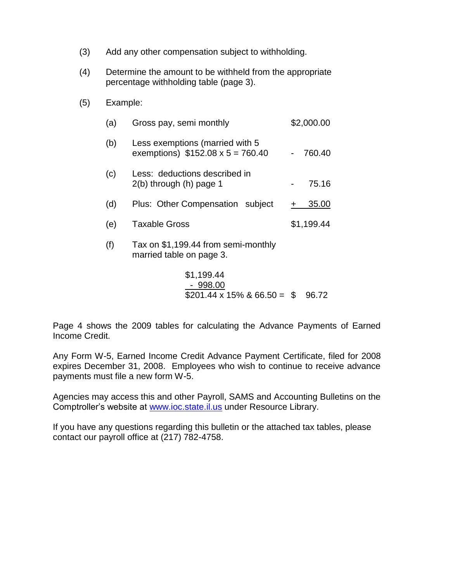- (3) Add any other compensation subject to withholding.
- (4) Determine the amount to be withheld from the appropriate percentage withholding table (page 3).
- (5) Example:

| (a) | Gross pay, semi monthly                                                    | \$2,000.00 |  |  |
|-----|----------------------------------------------------------------------------|------------|--|--|
| (b) | Less exemptions (married with 5<br>exemptions) $$152.08 \times 5 = 760.40$ | 760.40     |  |  |
| (c) | Less: deductions described in<br>$2(b)$ through $(h)$ page 1               | 75.16      |  |  |
| (d) | Plus: Other Compensation subject                                           | 35.00      |  |  |
| (e) | <b>Taxable Gross</b>                                                       | \$1,199.44 |  |  |
| (f) | Tax on \$1,199.44 from semi-monthly<br>married table on page 3.            |            |  |  |

$$
\$1,199.44
$$
\n- 998.00\n
$$
\$201.44 \times 15\% \& 66.50 = \$ 96.72
$$

Page 4 shows the 2009 tables for calculating the Advance Payments of Earned Income Credit.

Any Form W-5, Earned Income Credit Advance Payment Certificate, filed for 2008 expires December 31, 2008. Employees who wish to continue to receive advance payments must file a new form W-5.

Agencies may access this and other Payroll, SAMS and Accounting Bulletins on the Comptroller's website at [www.ioc.state.il.us](http://www.ioc.state.il.us/) under Resource Library.

If you have any questions regarding this bulletin or the attached tax tables, please contact our payroll office at (217) 782-4758.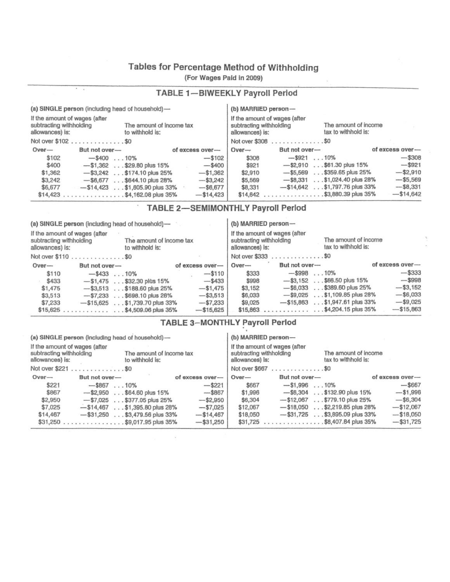# Tables for Percentage Method of Withholding

(For Wages Pald in 2009)

|  |  | <b>TABLE 1-BIWEEKLY Payroll Period</b> |  |  |
|--|--|----------------------------------------|--|--|
|--|--|----------------------------------------|--|--|

|                                                                                                                            | (a) SINGLE person (including head of household) — |                 | (b) MARRIED person-                                                                                                        |                       |                                  |                 |
|----------------------------------------------------------------------------------------------------------------------------|---------------------------------------------------|-----------------|----------------------------------------------------------------------------------------------------------------------------|-----------------------|----------------------------------|-----------------|
| If the amount of wages (after<br>subtracting withholding<br>The amount of income tax<br>allowances) is:<br>to withhold is: |                                                   |                 | If the amount of wages (after<br>The amount of income<br>subtracting withholding<br>tax to withhold is:<br>allowances) is: |                       |                                  |                 |
|                                                                                                                            | Not over \$102\$0                                 |                 |                                                                                                                            | Not over \$308 \$0    |                                  |                 |
| $Over-$                                                                                                                    | But not over-                                     | of excess over- | $Over-$                                                                                                                    | But not over-         |                                  | of excess over- |
| \$102                                                                                                                      | $-$ \$400 $\dots$ 10%                             | $-$102$         | \$308                                                                                                                      | $-$ \$921 $\dots$ 10% |                                  | $-$ \$308       |
| \$400                                                                                                                      | $-$ \$1,362 \$29.80 plus 15%                      | $-$ \$400       | \$921                                                                                                                      |                       | $-$ \$2,910 \$61.30 plus 15%     | $-$ \$921       |
| \$1,362                                                                                                                    | $-$ \$3,242 \$174.10 plus 25%                     | $-$ \$1,362     | \$2,910                                                                                                                    |                       | $-$ \$5,569 \$359.65 plus 25%    | $-$ \$2,910     |
| \$3,242                                                                                                                    | $-$ \$6,677 \$644.10 plus 28%                     | $-$ \$3,242     | \$5,569                                                                                                                    |                       | $-$ \$8,331 \$1,024.40 plus 28%  | $- $5,569$      |
| \$6,677                                                                                                                    | $-$ \$14,423 \$1,605.90 plus 33%                  | $- $6,677$      | \$8,331                                                                                                                    |                       | $-$ \$14,642 \$1,797.76 plus 33% | $- $8,331$      |
|                                                                                                                            |                                                   | $-$ \$14,423    |                                                                                                                            |                       | $$14,642$ \$3,880.39 plus 35%    | $-$ \$14,642    |

## TABLE 2-SEMIMONTHLY Payroll Period

|                                                                                                                            |               | (a) SINGLE person (including head of household)- |                 |                                                                                                                            | (b) MARRIED person- |                                  |                    |
|----------------------------------------------------------------------------------------------------------------------------|---------------|--------------------------------------------------|-----------------|----------------------------------------------------------------------------------------------------------------------------|---------------------|----------------------------------|--------------------|
| If the amount of wages (after<br>The amount of income tax<br>subtracting withholding<br>allowances) is:<br>to withhold is: |               |                                                  |                 | If the amount of wages (after<br>The amount of income<br>subtracting withholding<br>tax to withhold is:<br>allowances) is: |                     |                                  |                    |
| Not over \$110 \$0                                                                                                         |               |                                                  |                 |                                                                                                                            | Not over \$333 \$0  |                                  |                    |
| $Over-$                                                                                                                    | But not over- |                                                  | of excess over- | $Over-$                                                                                                                    | But not over-       |                                  | $of excess over$ — |
| \$110                                                                                                                      |               | $-$ \$43310%                                     | $-$ \$110       | \$333                                                                                                                      |                     | $-$ \$998 10%                    | $-$ \$333          |
| \$433                                                                                                                      |               | $-$ \$1,475 \$32.30 plus 15%                     | $-$ \$433       | \$998                                                                                                                      |                     | $-$ \$3,152 \$66.50 plus 15%     | $-$ \$998          |
| \$1,475                                                                                                                    |               | $-$ \$3,513 \$188.60 plus 25%                    | $- $1,475$      | \$3,152                                                                                                                    |                     | $-$ \$6,033 \$389.60 plus 25%    | $-$ \$3,152        |
| \$3,513                                                                                                                    |               | $-$ \$7,233 \$698.10 plus 28%                    | $-$ \$3,513     | \$6,033                                                                                                                    |                     | $-$ \$9,025 \$1,109.85 plus 28%  | $-$ \$6,033        |
| \$7,233                                                                                                                    |               | $-$15,625$ \$1,739.70 plus 33%                   | $- $7,233$      | \$9,025                                                                                                                    |                     | $-$ \$15,863 \$1,947.61 plus 33% | $- $9,025$         |
|                                                                                                                            |               |                                                  | $- $15,625$     |                                                                                                                            |                     | $$15,863$ \$4,204.15 plus 35%    | $-$15,863$         |

## TABLE 3-MONTHLY Payroll Period

(a) SINGLE person (including head of household)-

- 1

#### (b) MARRIED person-

|                                                                                                                            | first more common the most models. Fraction massively assumed in the moments and containing |                                  |                 | $\sim$ , and as a same power was a |                                                                                                                            |                                  |                 |  |
|----------------------------------------------------------------------------------------------------------------------------|---------------------------------------------------------------------------------------------|----------------------------------|-----------------|------------------------------------|----------------------------------------------------------------------------------------------------------------------------|----------------------------------|-----------------|--|
| If the amount of wages (after<br>The amount of income tax<br>subtracting withholding<br>allowances) is:<br>to withhold is: |                                                                                             |                                  |                 |                                    | If the amount of wages (after<br>The amount of income<br>subtracting withholding<br>tax to withhold is:<br>allowances) is: |                                  |                 |  |
|                                                                                                                            | Not over \$221 \$0                                                                          |                                  |                 |                                    | Not over \$667 \$0                                                                                                         |                                  |                 |  |
| $Over-$                                                                                                                    | But not over-                                                                               |                                  | of excess over- | $Over-$                            | But not over-                                                                                                              |                                  | of excess over- |  |
| \$221                                                                                                                      | $-$ \$867 10%                                                                               |                                  | $-$ \$221       | \$667                              | $-$ \$1,996 10%                                                                                                            |                                  | $-$ \$667       |  |
| \$867                                                                                                                      |                                                                                             | $-$ \$2,950 \$64.60 plus 15%     | $-$ \$867       | \$1,996                            |                                                                                                                            | $-$ \$6,304 \$132.90 plus 15%    | $- $1,996$      |  |
| \$2,950                                                                                                                    |                                                                                             | $-$ \$7,025 \$377.05 plus 25%    | $-$ \$2,950     | \$6,304                            |                                                                                                                            | $-$ \$12,067 \$779.10 plus 25%   | $-$ \$6,304     |  |
| \$7,025                                                                                                                    |                                                                                             | $-$ \$14,467 \$1,395.80 plus 28% | $- $7,025$      | \$12,067                           |                                                                                                                            | $-$ \$18,050 \$2,219.85 plus 28% | $-$12,067$      |  |
| \$14,467                                                                                                                   |                                                                                             | $-$ \$31,250 \$3,479.56 plus 33% | $-$ \$14,467    | \$18,050                           |                                                                                                                            | $-$ \$31,725 \$3,895.09 plus 33% | $-$18,050$      |  |
|                                                                                                                            | $$31,250$ \$9,017.95 plus 35%                                                               |                                  | $-$ \$31,250    |                                    |                                                                                                                            | $$31,725$ \$8,407.84 plus 35%    | $- $31,725$     |  |
|                                                                                                                            |                                                                                             |                                  |                 |                                    |                                                                                                                            |                                  |                 |  |

 $\sim$